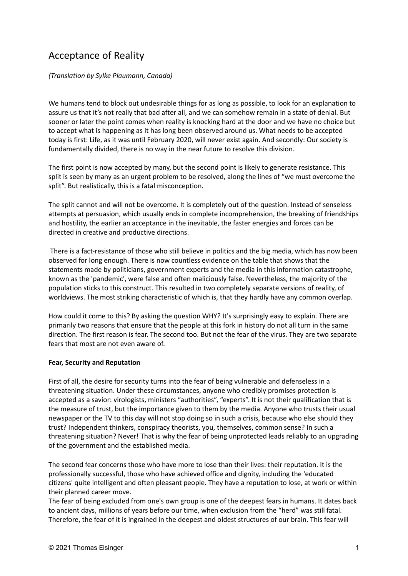## Acceptance of Reality

(Translation by Sylke Plaumann, Canada)

We humans tend to block out undesirable things for as long as possible, to look for an explanation to assure us that it's not really that bad after all, and we can somehow remain in a state of denial. But sooner or later the point comes when reality is knocking hard at the door and we have no choice but to accept what is happening as it has long been observed around us. What needs to be accepted today is first: Life, as it was until February 2020, will never exist again. And secondly: Our society is fundamentally divided, there is no way in the near future to resolve this division.

The first point is now accepted by many, but the second point is likely to generate resistance. This split is seen by many as an urgent problem to be resolved, along the lines of "we must overcome the split". But realistically, this is a fatal misconception.

The split cannot and will not be overcome. It is completely out of the question. Instead of senseless attempts at persuasion, which usually ends in complete incomprehension, the breaking of friendships and hostility, the earlier an acceptance in the inevitable, the faster energies and forces can be directed in creative and productive directions.

 There is a fact-resistance of those who still believe in politics and the big media, which has now been observed for long enough. There is now countless evidence on the table that shows that the statements made by politicians, government experts and the media in this information catastrophe, known as the 'pandemic', were false and often maliciously false. Nevertheless, the majority of the population sticks to this construct. This resulted in two completely separate versions of reality, of worldviews. The most striking characteristic of which is, that they hardly have any common overlap.

How could it come to this? By asking the question WHY? It's surprisingly easy to explain. There are primarily two reasons that ensure that the people at this fork in history do not all turn in the same direction. The first reason is fear. The second too. But not the fear of the virus. They are two separate fears that most are not even aware of.

## Fear, Security and Reputation

First of all, the desire for security turns into the fear of being vulnerable and defenseless in a threatening situation. Under these circumstances, anyone who credibly promises protection is accepted as a savior: virologists, ministers "authorities", "experts". It is not their qualification that is the measure of trust, but the importance given to them by the media. Anyone who trusts their usual newspaper or the TV to this day will not stop doing so in such a crisis, because who else should they trust? Independent thinkers, conspiracy theorists, you, themselves, common sense? In such a threatening situation? Never! That is why the fear of being unprotected leads reliably to an upgrading of the government and the established media.

The second fear concerns those who have more to lose than their lives: their reputation. It is the professionally successful, those who have achieved office and dignity, including the 'educated citizens' quite intelligent and often pleasant people. They have a reputation to lose, at work or within their planned career move.

The fear of being excluded from one's own group is one of the deepest fears in humans. It dates back to ancient days, millions of years before our time, when exclusion from the "herd" was still fatal. Therefore, the fear of it is ingrained in the deepest and oldest structures of our brain. This fear will